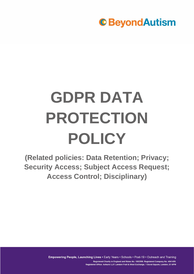

# **GDPR DATA PROTECTION POLICY**

**(Related policies: Data Retention; Privacy; Security Access; Subject Access Request; Access Control; Disciplinary)**

> Empowering People, Launching Lives · Early Years · Schools · Post-19 · Outreach and Training Registered Charity in England and Wales No. 1082599. Registered Company No. 4041459. Registered Office: Ashurst LLP, London Fruit & Wool Exchange, 1 Duval Square, London, E1 6PW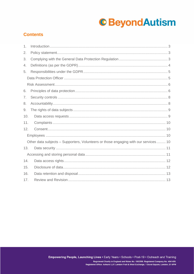### **Contents**

| 1.  |                                                                                     |
|-----|-------------------------------------------------------------------------------------|
| 2.  |                                                                                     |
| 3.  |                                                                                     |
| 4.  |                                                                                     |
| 5.  |                                                                                     |
|     |                                                                                     |
|     |                                                                                     |
| 6.  |                                                                                     |
| 7.  |                                                                                     |
| 8.  |                                                                                     |
| 9.  |                                                                                     |
| 10. |                                                                                     |
| 11. |                                                                                     |
| 12. |                                                                                     |
|     |                                                                                     |
|     | Other data subjects – Supporters, Volunteers or those engaging with our services 10 |
| 13. |                                                                                     |
|     |                                                                                     |
| 14. |                                                                                     |
| 15. |                                                                                     |
| 16. |                                                                                     |
| 17. |                                                                                     |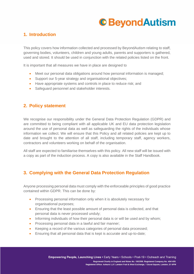### <span id="page-2-0"></span>**1. Introduction**

This policy covers how information collected and processed by BeyondAutism relating to staff, governing bodies, volunteers, children and young adults, parents and supporters is gathered, used and stored. It should be used in conjunction with the related policies listed on the front.

It is important that all measures we have in place are designed to

- Meet our personal data obligations around how personal information is managed;
- Support our 5-year strategy and organisational objectives;
- Have appropriate systems and controls in place to reduce risk; and
- Safeguard personnel and stakeholder interests.

### <span id="page-2-1"></span>**2. Policy statement**

We recognise our responsibility under the General Data Protection Regulation (GDPR) and are committed to being compliant with all applicable UK and EU data protection legislation around the use of personal data as well as safeguarding the rights of the individuals whose information we collect. We will ensure that this Policy and all related policies are kept up to date and brought to the attention of all staff, including temporary staff, agency workers, contractors and volunteers working on behalf of the organisation.

All staff are expected to familiarise themselves with this policy. All new staff will be issued with a copy as part of the induction process. A copy is also available in the Staff Handbook.

### <span id="page-2-2"></span>**3. Complying with the General Data Protection Regulation**

Anyone processing personal data must comply with the enforceable principles of good practice contained within GDPR. This can be done by:

- Processing personal information only when it is absolutely necessary for organisational purposes;
- Ensuring that the least possible amount of personal data is collected, and that personal data is never processed unduly;
- Informing individuals of how their personal data is or will be used and by whom;
- Processing personal data in a lawful and fair manner;
- Keeping a record of the various categories of personal data processed;
- Ensuring that all personal data that is kept is accurate and up-to-date: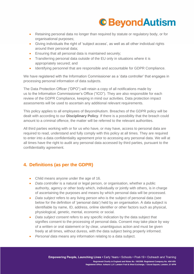

- Retaining personal data no longer than required by statute or regulatory body, or for organisational purposes;
- Giving individuals the right of 'subject access', as well as all other individual rights around their personal data;
- Ensuring that all personal data is maintained securely;
- Transferring personal data outside of the EU only in situations where it is appropriately secured; and
- Identifying personnel that are responsible and accountable for GDPR Compliance.

We have registered with the Information Commissioner as a 'data controller' that engages in processing personal information of data subjects.

The Data Protection Officer ("DPO") will retain a copy of all notifications made by us to the Information Commissioner's Office ("ICO"). They are also responsible for each review of the GDPR Compliance, keeping in mind our activities. Data protection impact assessments will be used to ascertain any additional relevant requirements.

This policy applies to all employees of BeyondAutism. Breaches of the GDPR policy will be dealt with according to our **Disciplinary Policy**. If there is a possibility that the breach could amount to a criminal offence, the matter will be referred to the relevant authorities.

All third parties working with or for us who have, or may have, access to personal data are required to read, understand and fully comply with this policy at all times. They are required to enter into a data confidentiality agreement prior to accessing any personal data. We will at all times have the right to audit any personal data accessed by third parties, pursuant to the confidentiality agreement.

### <span id="page-3-0"></span>**4. Definitions (as per the GDPR)**

- Child means anyone under the age of 16.
- *Data controller* is a natural or legal person, or organisation, whether a public authority, agency or other body which, individually or jointly with others, is in charge of ascertaining the purposes and means by which personal data will be processed.
- *Data subject* refers to any living person who is the subject of personal data (see below for the definition of 'personal data') held by an organisation. A data subject is identifiable by name, ID, address, online identifier or other factors such as physical, physiological, genetic, mental, economic or social.
- *Data subject consent* refers to any specific indication by the data subject that signifies consent to the processing of personal data. Consent may take place by way of a written or oral statement or by clear, unambiguous action and must be given freely at all times, without duress, with the data subject being properly informed.
- *Personal data* means any information relating to a data subject.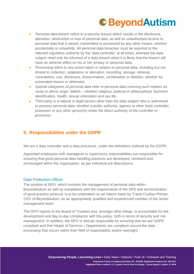- *Personal data breach* refers to a security breach which results in the disclosure, alteration, destruction or loss of personal data, as well as unauthorised access to personal data that is stored, transmitted or processed by any other means, whether accidentally or unlawfully. All personal data breaches must be reported to the relevant regulatory authority by the 'data controller' at all times, whereas the data subject need only be informed of a data breach when it is likely that the breach will have an adverse effect on his or her privacy or personal data.
- *Processing* refers to any action taken in relation to personal data, including but not limited to collection, adaptation or alteration, recording, storage, retrieval, consultation, use, disclosure, dissemination, combination or deletion, whether by automated means or otherwise.
- *Special categories of personal data* refer to personal data covering such matters as racial or ethnic origin, beliefs – whether religious, political or philosophical, biometric identification, health, sexual orientation and sex life.
- *Third party* is a natural or legal person other than the data subject who is authorised to process personal data, whether a public authority, agency or other body controller, processor or any other person(s) under the direct authority of the controller or processor.

### <span id="page-4-0"></span>**5. Responsibilities under the GDPR**

We are a data controller and a data processor, under the definitions outlined by the GDPR.

Appointed employees with managerial or supervisory responsibilities are responsible for ensuring that good personal data handling practices are developed, reviewed and encouraged within the organisation, as per individual job descriptions.

#### <span id="page-4-1"></span>Data Protection Officer

The position of DPO, which involves the management of personal data within BeyondAutism as well as compliance with the requirements of the DPA and demonstration of good practice protocol, is to be undertaken on an interim basis by Tracie Coultas-Pitman, CEO of BeyondAutism, as an appropriately qualified and experienced member of the senior management team.

The DPO reports to the Board of Trustees and, amongst other things, is accountable for the development and day-to-day compliance with this policy, both in terms of security and risk management. In addition, the DPO is directly responsible for ensuring that we are GDPR compliant and that Heads of Services / Departments are compliant around the data processing that occurs within their field of responsibility and/or oversight.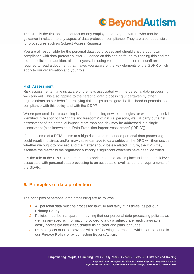The DPO is the first point of contact for any employees of BeyondAutism who require guidance in relation to any aspect of data protection compliance. They are also responsible for procedures such as Subject Access Requests.

You are all responsible for the personal data you process and should ensure your own compliance with data protection laws. Guidance on this can be found by reading this and the related policies. In addition, all employees, including volunteers and contract staff are required to read a document that makes you aware of the key elements of the GDPR which apply to our organisation and your role.

#### <span id="page-5-0"></span>Risk Assessment

Risk assessments make us aware of the risks associated with the personal data processing we carry out. This also applies to the personal data processing undertaken by other organisations on our behalf. Identifying risks helps us mitigate the likelihood of potential noncompliance with this policy and with the GDPR.

Where personal data processing is carried out using new technologies, or when a high risk is identified in relation to the "rights and freedoms" of natural persons, we will carry out a risk assessment of the potential impact. More than one risk may be addressed in a single assessment (also known as a 'Data Protection Impact Assessment' ("DPIA")).

If the outcome of a DPIA points to a high risk that our intended personal data processing could result in distress and/or may cause damage to data subjects, the DPO will then decide whether we ought to proceed and the matter should be escalated. In turn, the DPO may escalate the matter to the regulatory authority if significant concerns have been identified.

It is the role of the DPO to ensure that appropriate controls are in place to keep the risk level associated with personal data processing to an acceptable level, as per the requirements of the GDPR.

### <span id="page-5-1"></span>**6. Principles of data protection**

The principles of personal data processing are as follows:

- 1. All personal data must be processed lawfully and fairly at all times, as per our **Privacy Policy**.
- 2. Policies must be transparent, meaning that our personal data processing policies, as well as any specific information provided to a data subject, are readily available, easily accessible and clear, drafted using clear and plain language.
- 3. Data subjects must be provided with the following information, which can be found in our **Privacy Policy** or by contacting BeyondAutism: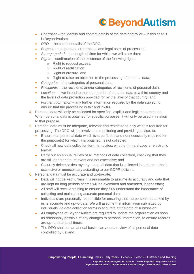- *Controller* the identity and contact details of the data controller in this case it is BeyondAutism;
- *DPO* the contact details of the DPO;
- *Purpose* the purpose or purposes and legal basis of processing;
- *Storage period* the length of time for which we will store data;
- *Rights* confirmation of the existence of the following rights:
	- o Right to request access;
	- o Right of rectification;
	- o Right of erasure; and
	- o Right to raise an objection to the processing of personal data;
- *Categories* the categories of personal data;
- *Recipients* the recipients and/or categories of recipients of personal data;
- *Location* if we intend to make a transfer of personal data to a third country and the levels of data protection provided for by the laws of that country; and
- *Further information* any further information required by the data subject to ensure that the processing is fair and lawful.
- 4. Personal data will only be collected for specified, explicit and legitimate reasons. When personal data is obtained for specific purposes, it will only be used in relation to that purpose.
- 5. Personal data must be adequate, relevant and restricted to only what is required for processing. The DPO will be involved in monitoring and providing advice, to:
	- Ensure that personal data which is superfluous and not necessarily required for the purpose(s) for which it is obtained, is not collected;
	- Check all new data collection form templates, whether in hard-copy or electronic format;
	- Carry out an annual review of all methods of data collection, checking that they are still appropriate, relevant and not excessive; and
	- Securely delete or destroy any personal data that is collected in a manner that is excessive or unnecessary according to our GDPR policies.
- 6. Personal data must be accurate and up-to-date:
	- Data will not be kept unless it is reasonable to assume its accuracy and data that are kept for long periods of time will be examined and amended, if necessary;
	- All staff will receive training to ensure they fully understand the importance of collecting and maintaining accurate personal data;
	- Individuals are personally responsible for ensuring that the personal data held by us is accurate and up-to-date. We will assume that information submitted by individuals via data collection forms is accurate at the date of submission;
	- All employees of BeyondAutism are required to update the organisation as soon as reasonably possible of any changes to personal information, to ensure records are up-to-date at all times;
	- The DPO shall, on an annual basis, carry out a review of all personal data controlled by us; and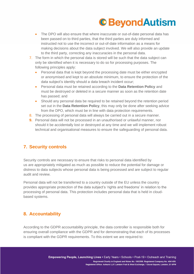- The DPO will also ensure that where inaccurate or out-of-date personal data has been passed on to third parties, that the third parties are duly informed and instructed not to use the incorrect or out-of-date information as a means for making decisions about the data subject involved. We will also provide an update to the third party, correcting any inaccuracies in the personal data.
- 7. The form in which the personal data is stored will be such that the data subject can only be identified when it is necessary to do so for processing purposes. The following principles apply:
	- Personal data that is kept beyond the processing date must be either encrypted or anonymised and kept to an absolute minimum, to ensure the protection of the data subject's identity should a data breach incident occur;
	- Personal data must be retained according to the **Data Retention Policy** and must be destroyed or deleted in a secure manner as soon as the retention date has passed; and
	- Should any personal data be required to be retained beyond the retention period set out in the **Data Retention Policy**, this may only be done after seeking advice from the DPO, which must be in line with data protection requirements.
- 8. The processing of personal data will always be carried out in a secure manner.
- **9.** Personal data will not be processed in an unauthorised or unlawful manner, nor should it be accidentally lost or destroyed at any time and we will implement robust technical and organisational measures to ensure the safeguarding of personal data.

### <span id="page-7-0"></span>**7. Security controls**

Security controls are necessary to ensure that risks to personal data identified by us are appropriately mitigated as much as possible to reduce the potential for damage or distress to data subjects whose personal data is being processed and are subject to regular audit and review.

Personal data will not be transferred to a country outside of the EU unless the country provides appropriate protection of the data subject's 'rights and freedoms' in relation to the processing of personal data. This protection includes personal data that is held in cloudbased systems.

### <span id="page-7-1"></span>**8. Accountability**

According to the GDPR accountability principle, the data controller is responsible both for ensuring overall compliance with the GDPR and for demonstrating that each of its processes is compliant with the GDPR requirements. To this extent we are required to: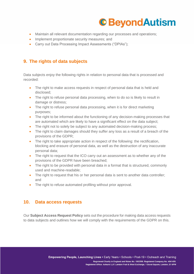

- Maintain all relevant documentation regarding our processes and operations;
- Implement proportionate security measures; and
- Carry out Data Processing Impact Assessments ("DPIAs");

#### <span id="page-8-0"></span>**9. The rights of data subjects**

Data subjects enjoy the following rights in relation to personal data that is processed and recorded:

- The right to make access requests in respect of personal data that is held and disclosed;
- The right to refuse personal data processing, when to do so is likely to result in damage or distress;
- The right to refuse personal data processing, when it is for direct marketing purposes;
- The right to be informed about the functioning of any decision-making processes that are automated which are likely to have a significant effect on the data subject;
- The right not to solely be subject to any automated decision-making process;
- The right to claim damages should they suffer any loss as a result of a breach of the provisions of the GDPR;
- The right to take appropriate action in respect of the following: the rectification, blocking and erasure of personal data, as well as the destruction of any inaccurate personal data;
- The right to request that the ICO carry out an assessment as to whether any of the provisions of the GDPR have been breached;
- The right to be provided with personal data in a format that is structured, commonly used and machine-readable;
- The right to request that his or her personal data is sent to another data controller; and
- The right to refuse automated profiling without prior approval.

#### <span id="page-8-1"></span>**10. Data access requests**

Our **Subject Access Request Policy** sets out the procedure for making data access requests to data subjects and outlines how we will comply with the requirements of the GDPR on this.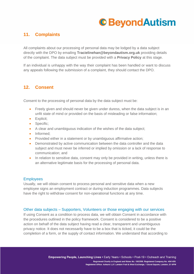### <span id="page-9-0"></span>**11. Complaints**

All complaints about our processing of personal data may be lodged by a data subject directly with the DPO by emailing **Tracielinehan@beyondautism.org.uk** providing details of the complaint. The data subject must be provided with a **Privacy Policy** at this stage.

If an individual is unhappy with the way their complaint has been handled or want to discuss any appeals following the submission of a complaint, they should contact the DPO.

#### <span id="page-9-1"></span>**12. Consent**

Consent to the processing of personal data by the data subject must be:

- Freely given and should never be given under duress, when the data subject is in an unfit state of mind or provided on the basis of misleading or false information;
- Explicit;
- Specific:
- A clear and unambiguous indication of the wishes of the data subject;
- Informed:
- Provided either in a statement or by unambiguous affirmative action;
- Demonstrated by active communication between the data controller and the data subject and must never be inferred or implied by omission or a lack of response to communication; and
- In relation to sensitive data, consent may only be provided in writing, unless there is an alternative legitimate basis for the processing of personal data.

#### <span id="page-9-2"></span>**Employees**

Usually, we will obtain consent to process personal and sensitive data when a new employee signs an employment contract or during induction programmes. Data subjects have the right to withdraw consent for non-operational functions at any time.

#### <span id="page-9-3"></span>Other data subjects – Supporters, Volunteers or those engaging with our services

If using Consent as a condition to process data, we will obtain Consent in accordance with the procedures outlined in the policy framework. Consent is considered to be a positive action on behalf of the data subject having read a clear, transparent and unambiguous privacy notice. It does not necessarily have to be a box that is ticked, it could be the completion of a form, or the supply of contact information. We understand that according to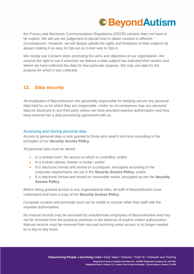the Privacy and Electronic Communications Regulations (PECR) consent does not have to be explicit. We will use our judgement to decide how to obtain consent in different circumstances. However, we will always uphold the rights and freedoms of data subjects by always making it as easy to Opt-out as it ever was to Opt-in.

We mostly use Consent when promoting the aims and objectives of our organisation. We reserve the right to use it wherever we believe a data subject has indicated their wishes and where we have collected the data for that particular purpose. We only use data for the purpose for which it was collected.

### <span id="page-10-0"></span>**13. Data security**

All employees of BeyondAutism are personally responsible for keeping secure any personal data held by us for which they are responsible. Under no circumstances may any personal data be disclosed to any third party unless we have provided express authorisation and they have entered into a data processing agreement with us.

#### <span id="page-10-1"></span>Accessing and storing personal data

Access to personal data is only granted to those who need it and only according to the principles of our **Security Access Policy**.

All personal data must be stored:

- In a locked room, the access to which is controlled; and/or
- In a locked cabinet, drawer or locker; and/or
- If in electronic format and stored on a computer, encrypted according to the corporate requirements set out in the **Security Access Policy**; and/or
- If in electronic format and stored on removable media, encrypted as per the **Security Access Policy**.

Before being granted access to any organisational data, all staff of BeyondAutism must understand and have a copy of the **Security Access Policy**.

Computer screens and terminals must not be visible to anyone other than staff with the requisite authorisation.

No manual records may be accessed by unauthorised employees of BeyondAutism and may not be removed from the business premises in the absence of explicit written authorisation. Manual records must be removed from secured archiving when access is no longer needed on a day-to-day basis.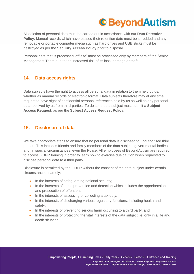All deletion of personal data must be carried out in accordance with our **Data Retention Policy**. Manual records which have passed their retention date must be shredded and any removable or portable computer media such as hard drives and USB sticks must be destroyed as per the **Security Access Policy** prior to disposal.

Personal data that is processed 'off-site' must be processed only by members of the Senior Management Team due to the increased risk of its loss, damage or theft.

### <span id="page-11-0"></span>**14. Data access rights**

Data subjects have the right to access all personal data in relation to them held by us, whether as manual records or electronic format. Data subjects therefore may at any time request to have sight of confidential personal references held by us as well as any personal data received by us from third-parties. To do so, a data subject must submit a **Subject Access Request**, as per the **Subject Access Request Policy**.

#### <span id="page-11-1"></span>**15. Disclosure of data**

We take appropriate steps to ensure that no personal data is disclosed to unauthorised third parties. This includes friends and family members of the data subject, governmental bodies and, in special circumstances, even the Police. All employees of BeyondAutism are required to access GDPR training in order to learn how to exercise due caution when requested to disclose personal data to a third party.

Disclosure is permitted by the GDPR without the consent of the data subject under certain circumstances, namely:

- In the interests of safeguarding national security;
- In the interests of crime prevention and detection which includes the apprehension and prosecution of offenders;
- In the interests of assessing or collecting a tax duty;
- In the interests of discharging various regulatory functions, including health and safety;
- In the interests of preventing serious harm occurring to a third party; and
- In the interests of protecting the vital interests of the data subject i.e. only in a life and death situation.